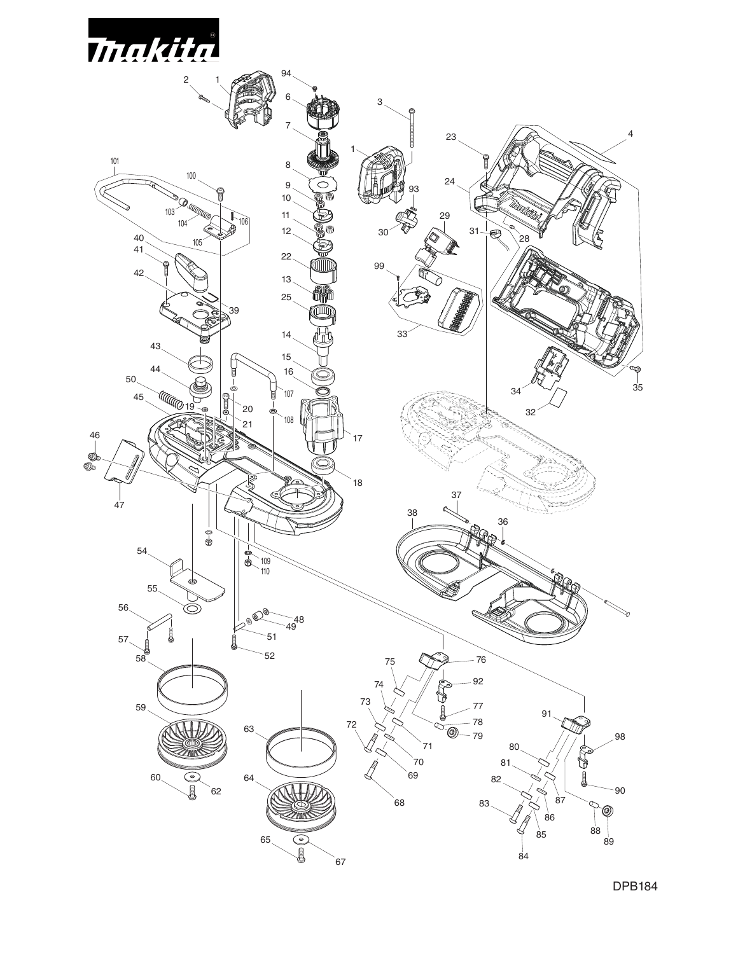

DPB184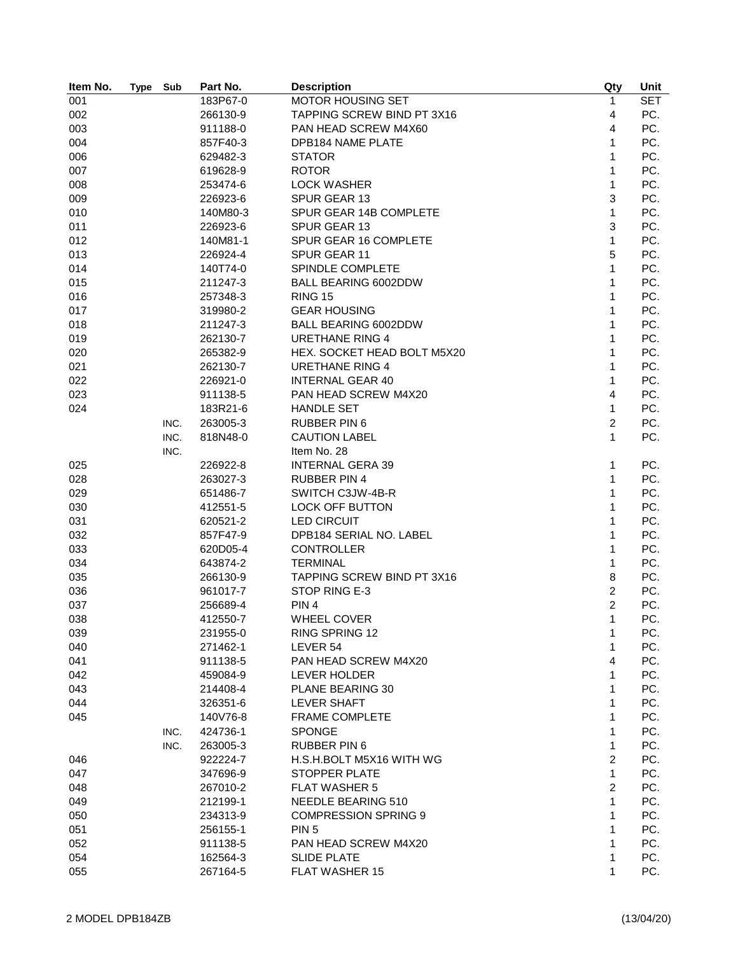| Item No. | <b>Type</b> | Sub  | Part No. | <b>Description</b>          | Qty            | Unit       |
|----------|-------------|------|----------|-----------------------------|----------------|------------|
| 001      |             |      | 183P67-0 | MOTOR HOUSING SET           | 1              | <b>SET</b> |
| 002      |             |      | 266130-9 | TAPPING SCREW BIND PT 3X16  | $\overline{4}$ | PC.        |
| 003      |             |      | 911188-0 | PAN HEAD SCREW M4X60        | 4              | PC.        |
| 004      |             |      | 857F40-3 | <b>DPB184 NAME PLATE</b>    | 1              | PC.        |
| 006      |             |      | 629482-3 | <b>STATOR</b>               | 1              | PC.        |
| 007      |             |      | 619628-9 | <b>ROTOR</b>                | 1              | PC.        |
| 008      |             |      | 253474-6 | <b>LOCK WASHER</b>          | 1              | PC.        |
| 009      |             |      | 226923-6 | SPUR GEAR 13                | 3              | PC.        |
| 010      |             |      | 140M80-3 | SPUR GEAR 14B COMPLETE      | 1              | PC.        |
| 011      |             |      | 226923-6 | SPUR GEAR 13                | 3              | PC.        |
| 012      |             |      | 140M81-1 | SPUR GEAR 16 COMPLETE       | 1              | PC.        |
| 013      |             |      | 226924-4 | SPUR GEAR 11                | 5              | PC.        |
| 014      |             |      | 140T74-0 | SPINDLE COMPLETE            | 1              | PC.        |
| 015      |             |      | 211247-3 | BALL BEARING 6002DDW        | 1              | PC.        |
| 016      |             |      | 257348-3 | <b>RING 15</b>              | 1              | PC.        |
| 017      |             |      | 319980-2 | <b>GEAR HOUSING</b>         | 1              | PC.        |
| 018      |             |      | 211247-3 | BALL BEARING 6002DDW        | 1              | PC.        |
| 019      |             |      | 262130-7 | <b>URETHANE RING 4</b>      | 1              | PC.        |
| 020      |             |      | 265382-9 | HEX. SOCKET HEAD BOLT M5X20 | 1              | PC.        |
| 021      |             |      | 262130-7 | <b>URETHANE RING 4</b>      | 1              | PC.        |
| 022      |             |      | 226921-0 | <b>INTERNAL GEAR 40</b>     | 1              | PC.        |
| 023      |             |      | 911138-5 | PAN HEAD SCREW M4X20        | 4              | PC.        |
| 024      |             |      | 183R21-6 | <b>HANDLE SET</b>           | 1              | PC.        |
|          |             | INC. | 263005-3 | <b>RUBBER PIN 6</b>         | $\overline{c}$ | PC.        |
|          |             | INC. | 818N48-0 | <b>CAUTION LABEL</b>        | 1              | PC.        |
|          |             | INC. |          | Item No. 28                 |                |            |
| 025      |             |      | 226922-8 | <b>INTERNAL GERA 39</b>     | 1              | PC.        |
| 028      |             |      | 263027-3 | <b>RUBBER PIN 4</b>         | 1              | PC.        |
| 029      |             |      | 651486-7 | SWITCH C3JW-4B-R            | 1              | PC.        |
| 030      |             |      | 412551-5 | <b>LOCK OFF BUTTON</b>      | 1              | PC.        |
| 031      |             |      | 620521-2 | <b>LED CIRCUIT</b>          | 1              | PC.        |
| 032      |             |      | 857F47-9 | DPB184 SERIAL NO. LABEL     | 1              | PC.        |
| 033      |             |      | 620D05-4 | <b>CONTROLLER</b>           | 1              | PC.        |
| 034      |             |      | 643874-2 | <b>TERMINAL</b>             | 1              | PC.        |
| 035      |             |      | 266130-9 | TAPPING SCREW BIND PT 3X16  | 8              | PC.        |
| 036      |             |      | 961017-7 | STOP RING E-3               | $\overline{2}$ | PC.        |
| 037      |             |      | 256689-4 | PIN <sub>4</sub>            | $\overline{c}$ | PC.        |
| 038      |             |      | 412550-7 | WHEEL COVER                 | 1              | PC.        |
| 039      |             |      | 231955-0 | <b>RING SPRING 12</b>       | 1              | PC.        |
| 040      |             |      | 271462-1 | LEVER 54                    | 1              | PC.        |
| 041      |             |      | 911138-5 | PAN HEAD SCREW M4X20        | 4              | PC.        |
| 042      |             |      | 459084-9 | LEVER HOLDER                | 1              | PC.        |
| 043      |             |      | 214408-4 | PLANE BEARING 30            | 1              | PC.        |
| 044      |             |      | 326351-6 | LEVER SHAFT                 | 1              | PC.        |
| 045      |             |      | 140V76-8 | <b>FRAME COMPLETE</b>       | 1              | PC.        |
|          |             | INC. | 424736-1 | <b>SPONGE</b>               | 1              | PC.        |
|          |             | INC. | 263005-3 | <b>RUBBER PIN 6</b>         | 1              | PC.        |
| 046      |             |      | 922224-7 | H.S.H.BOLT M5X16 WITH WG    | $\overline{c}$ | PC.        |
| 047      |             |      | 347696-9 | STOPPER PLATE               | 1              | PC.        |
| 048      |             |      | 267010-2 | <b>FLAT WASHER 5</b>        | $\overline{c}$ | PC.        |
| 049      |             |      | 212199-1 | NEEDLE BEARING 510          | 1              | PC.        |
| 050      |             |      | 234313-9 | <b>COMPRESSION SPRING 9</b> | 1              | PC.        |
| 051      |             |      | 256155-1 | PIN <sub>5</sub>            | 1              | PC.        |
| 052      |             |      | 911138-5 | PAN HEAD SCREW M4X20        | 1              | PC.        |
| 054      |             |      | 162564-3 | <b>SLIDE PLATE</b>          | 1              | PC.        |
| 055      |             |      | 267164-5 | <b>FLAT WASHER 15</b>       | 1              | PC.        |